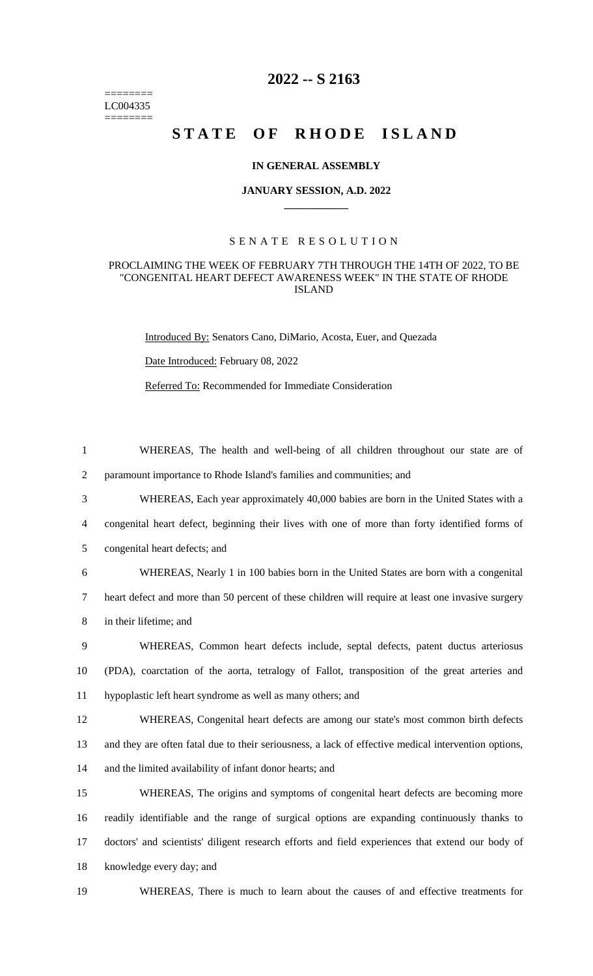======== LC004335 ========

# **2022 -- S 2163**

# **STATE OF RHODE ISLAND**

## **IN GENERAL ASSEMBLY**

#### **JANUARY SESSION, A.D. 2022 \_\_\_\_\_\_\_\_\_\_\_\_**

# S E N A T E R E S O L U T I O N

## PROCLAIMING THE WEEK OF FEBRUARY 7TH THROUGH THE 14TH OF 2022, TO BE "CONGENITAL HEART DEFECT AWARENESS WEEK" IN THE STATE OF RHODE ISLAND

Introduced By: Senators Cano, DiMario, Acosta, Euer, and Quezada

Date Introduced: February 08, 2022

Referred To: Recommended for Immediate Consideration

1 WHEREAS, The health and well-being of all children throughout our state are of

2 paramount importance to Rhode Island's families and communities; and

3 WHEREAS, Each year approximately 40,000 babies are born in the United States with a

4 congenital heart defect, beginning their lives with one of more than forty identified forms of

5 congenital heart defects; and

6 WHEREAS, Nearly 1 in 100 babies born in the United States are born with a congenital 7 heart defect and more than 50 percent of these children will require at least one invasive surgery 8 in their lifetime; and

9 WHEREAS, Common heart defects include, septal defects, patent ductus arteriosus 10 (PDA), coarctation of the aorta, tetralogy of Fallot, transposition of the great arteries and 11 hypoplastic left heart syndrome as well as many others; and

12 WHEREAS, Congenital heart defects are among our state's most common birth defects 13 and they are often fatal due to their seriousness, a lack of effective medical intervention options, 14 and the limited availability of infant donor hearts; and

 WHEREAS, The origins and symptoms of congenital heart defects are becoming more readily identifiable and the range of surgical options are expanding continuously thanks to doctors' and scientists' diligent research efforts and field experiences that extend our body of knowledge every day; and

19 WHEREAS, There is much to learn about the causes of and effective treatments for